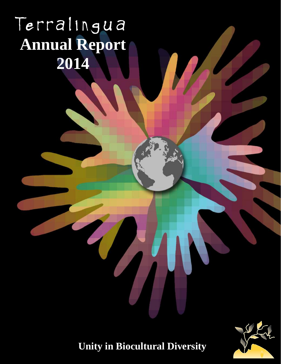# Terralingua **Annual Report 2014**



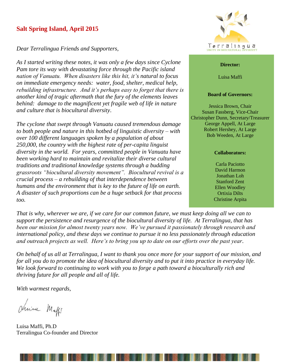# **Salt Spring Island, April 2015**

*Dear Terralingua Friends and Supporters,* 

*As I started writing these notes, it was only a few days since Cyclone Pam tore its way with devastating force through the Pacific island nation of Vanuatu. When disasters like this hit, it's natural to focus on immediate emergency needs: water, food, shelter, medical help, rebuilding infrastructure. And it's perhaps easy to forget that there is another kind of tragic aftermath that the fury of the elements leaves behind: damage to the magnificent yet fragile web of life in nature and culture that is biocultural diversity*.

*The cyclone that swept through Vanuatu caused tremendous damage to both people and nature in this hotbed of linguistic diversity – with over 100 different languages spoken by a population of about 250,000, the country with the highest rate of per-capita linguist diversity in the world. For years, committed people in Vanuatu have been working hard to maintain and revitalize their diverse cultural traditions and traditional knowledge systems through a budding grassroots "biocultural diversity movement". Biocultural revival is a crucial process – a rebuilding of that interdependence between humans and the environment that is key to the future of life on earth. A disaster of such proportions can be a huge setback for that process too.*



#### **Director:**

Luisa Maffi

#### **Board of Governors:**

Jessica Brown, Chair Susan Fassberg, Vice-Chair Christopher Dunn, Secretary/Treasurer George Appell, At Large Robert Hershey, At Large Bob Weeden, At Large

#### **Collaborators:**

Carla Paciotto David Harmon Jonathan Loh Stanford Zent Ellen Woodley Ortixia Dilts Christine Arpita

*That is why, wherever we are, if we care for our common future, we must keep doing all we can to support the persistence and resurgence of the biocultural diversity of life. At Terralingua, that has been our mission for almost twenty years now. We've pursued it passionately through research and international policy, and these days we continue to pursue it no less passionately through education and outreach projects as well. Here's to bring you up to date on our efforts over the past year*.

*On behalf of us all at Terralingua, I want to thank you once more for your support of our mission, and for all you do to promote the idea of biocultural diversity and to put it into practice in everyday life. We look forward to continuing to work with you to forge a path toward a bioculturally rich and thriving future for all people and all of life.*

*With warmest regards,*

drive Maffe

Luisa Maffi, Ph.D Terralingua Co-founder and Director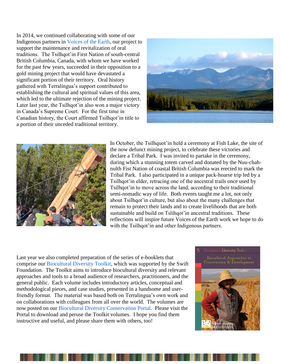In 2014, we continued collaborating with some of our Indigenous partners in [Voices of the Earth,](http://www.terralingua.org/voicesoftheearth/) our project to support the maintenance and revitalization of oral traditions. The Tsilhqot'in First Nation of south-central British Columbia, Canada, with whom we have worked for the past few years, succeeded in their opposition to a gold mining project that would have devastated a significant portion of their territory. Oral history gathered with Terralingua's support contributed to establishing the cultural and spiritual values of this area, which led to the ultimate rejection of the mining project. Later last year, the Tsilhqot'in also won a major victory in Canada's Supreme Court. For the first time in Canadian history, the Court affirmed Tsilhqot'in title to a portion of their unceded traditional territory.





In October, the Tsilhquot'in held a ceremony at Fish Lake, the site of the now defunct mining project, to celebrate these victories and declare a Tribal Park. I was invited to partake in the ceremony, during which a stunning totem carved and donated by the Nuu-chahnulth Fist Nation of coastal British Columbia was erected to mark the Tribal Park. I also participated in a unique pack-hoarse trip led by a Tsilhqot'in elder, retracing one of the ancestral trails once used by Tsilhqot'in to move across the land, according to their traditional semi-nomadic way of life. Both events taught me a lot, not only about Tsilhqot'in culture, but also about the many challenges that remain to protect their lands and to create livelihoods that are both sustainable and build on Tslihqot'in ancestral traditions. These reflections will inspire future Voices of the Earth work we hope to do with the Tsilhqot'in and other Indigenous partners.

Last year we also completed preparation of the series of e-booklets that comprise our [Biocultural Diversity Toolkit,](http://www.terralingua.org/bcdconservation/?page_id=1614) which was supported by the Swift Foundation. The Toolkit aims to introduce biocultural diversity and relevant approaches and tools to a broad audience of researchers, practitioners, and the general public. Each volume includes introductory articles, conceptual and methodological pieces, and case studies, presented in a handsome and userfriendly format. The material was based both on Terralingua's own work and on collaborations with colleagues from all over the world. The volumes are now posted on our [Biocultural Diversity Conservation Portal.](http://www.terralingua.org/bcdconservation) Please visit the Portal to download and peruse the Toolkit volumes. I hope you find them instructive and useful, and please share them with others, too!



iocultural Diversity Toolkit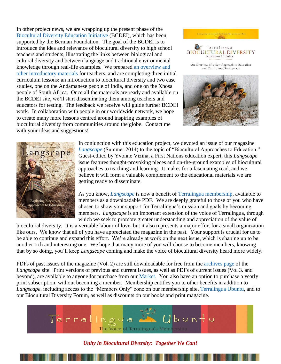In other project news, we are wrapping up the present phase of the [Biocultural Diversity Education Initiative](http://www.terralingua.org/bcdeducation/) (BCDEI), which has been supported by the Berman Foundation. The goal of the BCDEI is to introduce the idea and relevance of biocultural diversity to high school teachers and students, illustrating the links between biological and cultural diversity and between language and traditional environmental knowledge through real-life examples. We prepared [an overview and](http://www.terralingua.org/bcdeducation/)  [other introductory materials](http://www.terralingua.org/bcdeducation/) for teachers, and are completing three initial curriculum lessons: an introduction to biocultural diversity and two case studies, one on the Andamanese people of India, and one on the Xhosa people of South Africa. Once all the materials are ready and available on the BCDEI site, we'll start disseminating them among teachers and educators for testing. The feedback we receive will guide further BCDEI work. In collaboration with people in our worldwide network, we hope to create many more lessons centred around inspiring examples of biocultural diversity from communities around the globe. Contact me with your ideas and suggestions!





In conjunction with this education project, we devoted an issue of our magazine *[Langscape](http://www.terralinguaubuntu.org/langscape/home.htm)* (Summer 2014) to the topic of "Biocultural Approaches to Education." Guest-edited by Yvonne Vizina, a First Nations education expert, this *Langscape* issue features thought-provoking pieces and on-the-ground examples of biocultural approaches to teaching and learning. It makes for a fascinating read, and we believe it will form a valuable complement to the educational materials we are getting ready to disseminate.

As you know, *[Langscape](http://www.terralinguaubuntu.org/Langscape/home.htm)* is now a benefit of [Terralingua membership,](https://terralinguaubuntu.worldsecuresystems.com/users/choose-your-membership) available to members as a downloadable PDF. We are deeply grateful to those of you who have chosen to show your support for Terralingua's mission and goals by becoming members. *Langscape* is an important extension of the voice of Terralingua, through which we seek to promote greater understanding and appreciation of the value of

biocultural diversity. It is a veritable labour of love, but it also represents a major effort for a small organization like ours. We know that all of you have appreciated the magazine in the past. Your support is crucial for us to be able to continue and expand this effort. We're already at work on the next issue, which is shaping up to be another rich and interesting one. We hope that many more of you will choose to become members, knowing that by so doing, you'll keep *Langscape* coming and make the voice of biocultural diversity heard more widely.

PDFs of past issues of the magazine (Vol. 2) are still downloadable for free from the [archives page](http://www.terralinguaubuntu.org/Langscape/langscape-archive) of the *Langscape* site. Print versions of previous and current issues, as well as PDFs of current issues (Vol 3. and beyond), are available to anyone for purchase from our [Market.](http://www.terralinguaubuntu.org/market/market) You also have an option to purchase a yearly print subscription, without becoming a member. Membership entitles you to other benefits in addition to *Langscape*, including access to the "Members Only" zone on our membership site, [Terralingua Ubuntu,](http://www.terralinguaubuntu.org/market/market) and to our Biocultural Diversity Forum, as well as discounts on our books and print magazine.



*Unity in Biocultural Diversity: Together We Can!*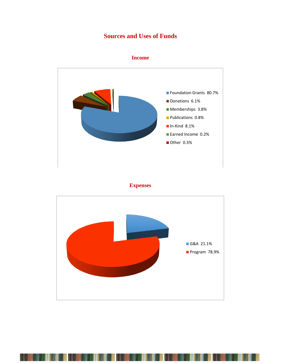# **Sources and Uses of Funds**





# **Expenses**